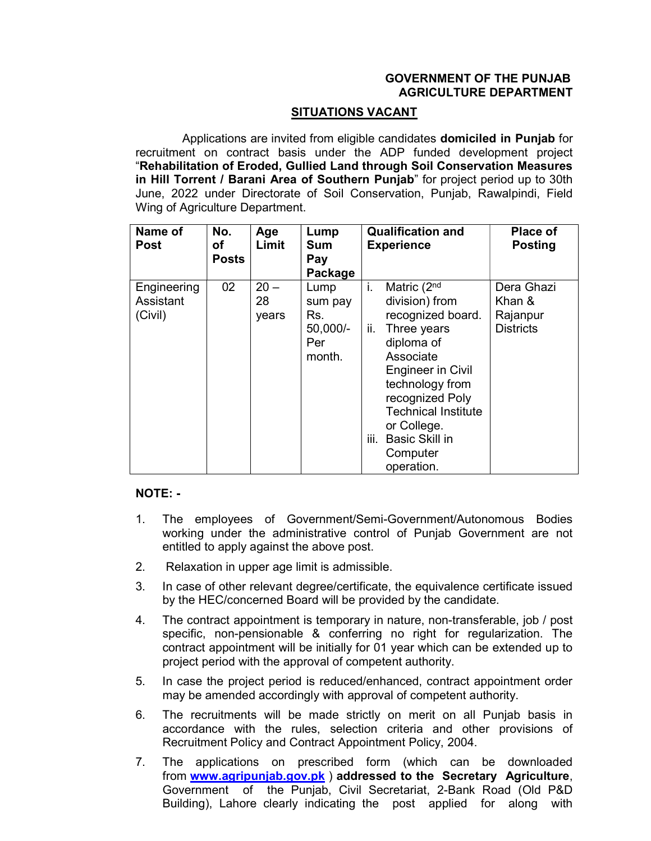## GOVERNMENT OF THE PUNJAB AGRICULTURE DEPARTMENT

## SITUATIONS VACANT

 Applications are invited from eligible candidates domiciled in Punjab for recruitment on contract basis under the ADP funded development project "Rehabilitation of Eroded, Gullied Land through Soil Conservation Measures in Hill Torrent / Barani Area of Southern Punjab" for project period up to 30th June, 2022 under Directorate of Soil Conservation, Punjab, Rawalpindi, Field Wing of Agriculture Department.

| Name of<br><b>Post</b>              | No.<br>οf<br><b>Posts</b> | Age<br>Limit          | Lump<br><b>Sum</b><br>Pay<br>Package                | <b>Qualification and</b><br><b>Experience</b>                                                                                                                                                                                                                                       | Place of<br><b>Posting</b>                           |
|-------------------------------------|---------------------------|-----------------------|-----------------------------------------------------|-------------------------------------------------------------------------------------------------------------------------------------------------------------------------------------------------------------------------------------------------------------------------------------|------------------------------------------------------|
| Engineering<br>Assistant<br>(Civil) | 02                        | $20 -$<br>28<br>years | Lump<br>sum pay<br>Rs.<br>50,000/-<br>Per<br>month. | i.<br>Matric (2nd<br>division) from<br>recognized board.<br>ii.<br>Three years<br>diploma of<br>Associate<br><b>Engineer in Civil</b><br>technology from<br>recognized Poly<br><b>Technical Institute</b><br>or College.<br>iii.<br><b>Basic Skill in</b><br>Computer<br>operation. | Dera Ghazi<br>Khan &<br>Rajanpur<br><b>Districts</b> |

## NOTE: -

- 1. The employees of Government/Semi-Government/Autonomous Bodies working under the administrative control of Punjab Government are not entitled to apply against the above post.
- 2. Relaxation in upper age limit is admissible.
- 3. In case of other relevant degree/certificate, the equivalence certificate issued by the HEC/concerned Board will be provided by the candidate.
- 4. The contract appointment is temporary in nature, non-transferable, job / post specific, non-pensionable & conferring no right for regularization. The contract appointment will be initially for 01 year which can be extended up to project period with the approval of competent authority.
- 5. In case the project period is reduced/enhanced, contract appointment order may be amended accordingly with approval of competent authority.
- 6. The recruitments will be made strictly on merit on all Punjab basis in accordance with the rules, selection criteria and other provisions of Recruitment Policy and Contract Appointment Policy, 2004.
- 7. The applications on prescribed form (which can be downloaded from www.agripunjab.gov.pk ) addressed to the Secretary Agriculture, Government of the Punjab, Civil Secretariat, 2-Bank Road (Old P&D Building), Lahore clearly indicating the post applied for along with